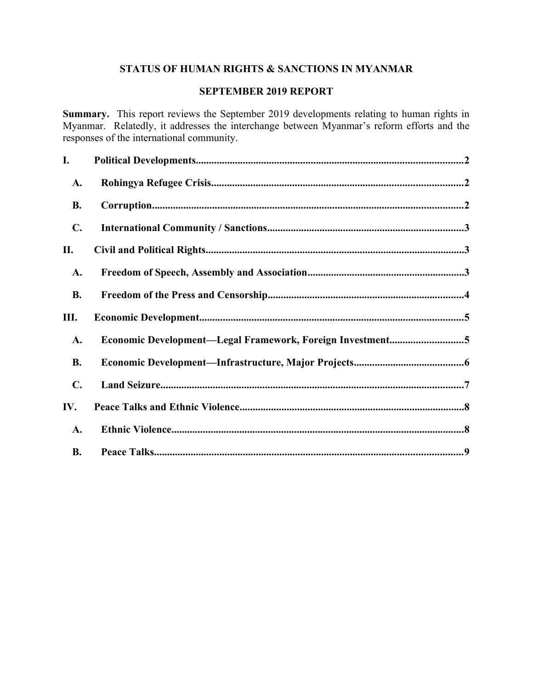# **STATUS OF HUMAN RIGHTS & SANCTIONS IN MYANMAR**

# **SEPTEMBER 2019 REPORT**

**Summary.** This report reviews the September 2019 developments relating to human rights in Myanmar. Relatedly, it addresses the interchange between Myanmar's reform efforts and the responses of the international community.

| I.             |                                                           |  |
|----------------|-----------------------------------------------------------|--|
| A.             |                                                           |  |
| <b>B.</b>      |                                                           |  |
| $\mathbf{C}$ . |                                                           |  |
| П.             |                                                           |  |
| A.             |                                                           |  |
| <b>B.</b>      |                                                           |  |
| Ш.             |                                                           |  |
| A.             | Economic Development-Legal Framework, Foreign Investment5 |  |
| <b>B.</b>      |                                                           |  |
| $\mathbf{C}$ . |                                                           |  |
| IV.            |                                                           |  |
| A.             |                                                           |  |
| <b>B.</b>      |                                                           |  |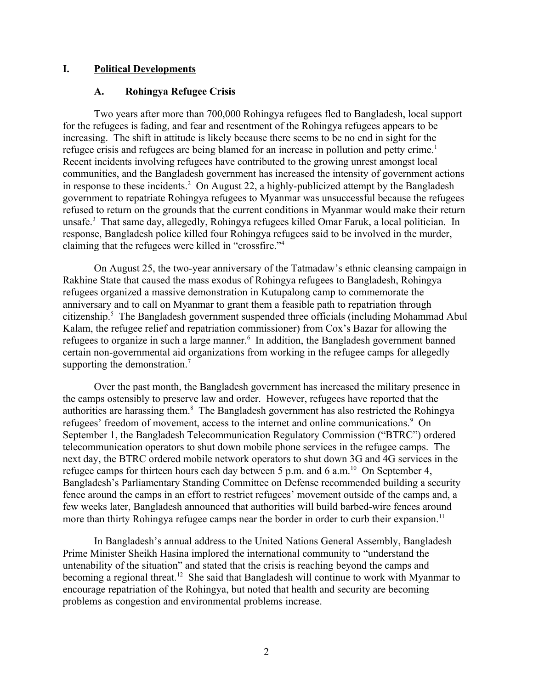### **I. Political Developments**

#### <span id="page-1-1"></span><span id="page-1-0"></span>**A. Rohingya Refugee Crisis**

Two years after more than 700,000 Rohingya refugees fled to Bangladesh, local support for the refugees is fading, and fear and resentment of the Rohingya refugees appears to be increasing. The shift in attitude is likely because there seems to be no end in sight for the refugee crisis and refugees are being blamed for an increase in pollution and petty crime.<sup>1</sup> Recent incidents involving refugees have contributed to the growing unrest amongst local communities, and the Bangladesh government has increased the intensity of government actions in response to these incidents.<sup>2</sup> On August 22, a highly-publicized attempt by the Bangladesh government to repatriate Rohingya refugees to Myanmar was unsuccessful because the refugees refused to return on the grounds that the current conditions in Myanmar would make their return unsafe.<sup>3</sup> That same day, allegedly, Rohingya refugees killed Omar Faruk, a local politician. In response, Bangladesh police killed four Rohingya refugees said to be involved in the murder, claiming that the refugees were killed in "crossfire."<sup>4</sup>

On August 25, the two-year anniversary of the Tatmadaw's ethnic cleansing campaign in Rakhine State that caused the mass exodus of Rohingya refugees to Bangladesh, Rohingya refugees organized a massive demonstration in Kutupalong camp to commemorate the anniversary and to call on Myanmar to grant them a feasible path to repatriation through citizenship.<sup>5</sup> The Bangladesh government suspended three officials (including Mohammad Abul Kalam, the refugee relief and repatriation commissioner) from Cox's Bazar for allowing the refugees to organize in such a large manner.<sup>6</sup> In addition, the Bangladesh government banned certain non-governmental aid organizations from working in the refugee camps for allegedly supporting the demonstration.<sup>7</sup>

Over the past month, the Bangladesh government has increased the military presence in the camps ostensibly to preserve law and order. However, refugees have reported that the authorities are harassing them.<sup>8</sup> The Bangladesh government has also restricted the Rohingya refugees' freedom of movement, access to the internet and online communications.<sup>9</sup> On September 1, the Bangladesh Telecommunication Regulatory Commission ("BTRC") ordered telecommunication operators to shut down mobile phone services in the refugee camps. The next day, the BTRC ordered mobile network operators to shut down 3G and 4G services in the refugee camps for thirteen hours each day between 5 p.m. and 6 a.m.<sup>10</sup> On September 4, Bangladesh's Parliamentary Standing Committee on Defense recommended building a security fence around the camps in an effort to restrict refugees' movement outside of the camps and, a few weeks later, Bangladesh announced that authorities will build barbed-wire fences around more than thirty Rohingya refugee camps near the border in order to curb their expansion.<sup>11</sup>

In Bangladesh's annual address to the United Nations General Assembly, Bangladesh Prime Minister Sheikh Hasina implored the international community to "understand the untenability of the situation" and stated that the crisis is reaching beyond the camps and becoming a regional threat.<sup>12</sup> She said that Bangladesh will continue to work with Myanmar to encourage repatriation of the Rohingya, but noted that health and security are becoming problems as congestion and environmental problems increase.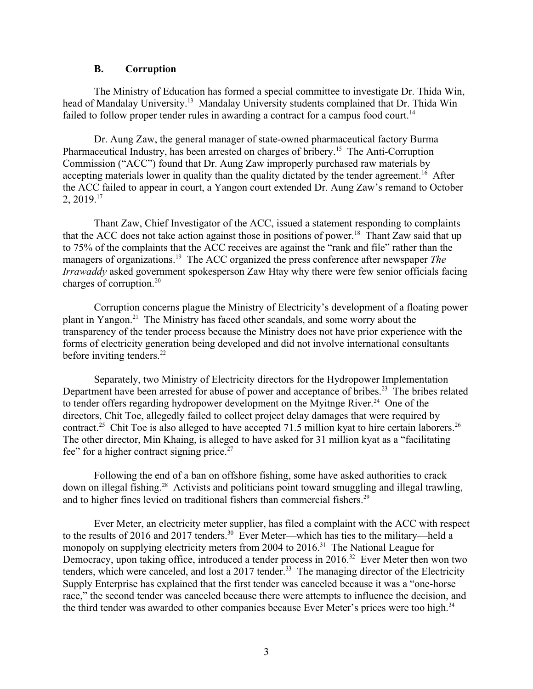#### <span id="page-2-0"></span>**B. Corruption**

The Ministry of Education has formed a special committee to investigate Dr. Thida Win, head of Mandalay University.<sup>13</sup> Mandalay University students complained that Dr. Thida Win failed to follow proper tender rules in awarding a contract for a campus food court.<sup>14</sup>

Dr. Aung Zaw, the general manager of state-owned pharmaceutical factory Burma Pharmaceutical Industry, has been arrested on charges of bribery.<sup>15</sup> The Anti-Corruption Commission ("ACC") found that Dr. Aung Zaw improperly purchased raw materials by accepting materials lower in quality than the quality dictated by the tender agreement.<sup>16</sup> After the ACC failed to appear in court, a Yangon court extended Dr. Aung Zaw's remand to October  $2, 2019.<sup>17</sup>$ 

Thant Zaw, Chief Investigator of the ACC, issued a statement responding to complaints that the ACC does not take action against those in positions of power.<sup>18</sup> Thant Zaw said that up to 75% of the complaints that the ACC receives are against the "rank and file" rather than the managers of organizations.<sup>19</sup> The ACC organized the press conference after newspaper *The Irrawaddy* asked government spokesperson Zaw Htay why there were few senior officials facing charges of corruption.<sup>20</sup>

Corruption concerns plague the Ministry of Electricity's development of a floating power plant in Yangon.<sup>21</sup> The Ministry has faced other scandals, and some worry about the transparency of the tender process because the Ministry does not have prior experience with the forms of electricity generation being developed and did not involve international consultants before inviting tenders.<sup>22</sup>

Separately, two Ministry of Electricity directors for the Hydropower Implementation Department have been arrested for abuse of power and acceptance of bribes.<sup>23</sup> The bribes related to tender offers regarding hydropower development on the Myitnge River.<sup>24</sup> One of the directors, Chit Toe, allegedly failed to collect project delay damages that were required by contract.<sup>25</sup> Chit Toe is also alleged to have accepted 71.5 million kyat to hire certain laborers.<sup>26</sup> The other director, Min Khaing, is alleged to have asked for 31 million kyat as a "facilitating fee" for a higher contract signing price. $27$ 

Following the end of a ban on offshore fishing, some have asked authorities to crack down on illegal fishing.<sup>28</sup> Activists and politicians point toward smuggling and illegal trawling, and to higher fines levied on traditional fishers than commercial fishers.<sup>29</sup>

Ever Meter, an electricity meter supplier, has filed a complaint with the ACC with respect to the results of 2016 and 2017 tenders.<sup>30</sup> Ever Meter—which has ties to the military—held a monopoly on supplying electricity meters from 2004 to 2016.<sup>31</sup> The National League for Democracy, upon taking office, introduced a tender process in 2016.<sup>32</sup> Ever Meter then won two tenders, which were canceled, and lost a 2017 tender.<sup>33</sup> The managing director of the Electricity Supply Enterprise has explained that the first tender was canceled because it was a "one-horse race," the second tender was canceled because there were attempts to influence the decision, and the third tender was awarded to other companies because Ever Meter's prices were too high.<sup>34</sup>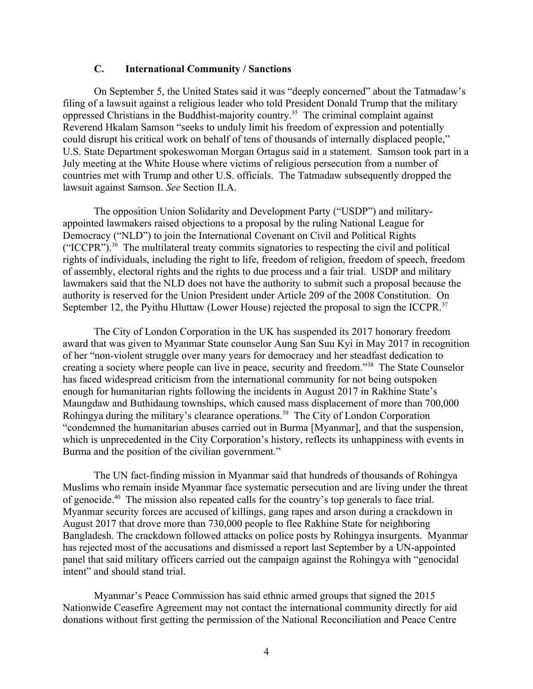#### <span id="page-3-0"></span>**C. International Community / Sanctions**

On September 5, the United States said it was "deeply concerned" about the Tatmadaw's filing of a lawsuit against a religious leader who told President Donald Trump that the military oppressed Christians in the Buddhist-majority country.<sup>35</sup> The criminal complaint against Reverend Hkalam Samson "seeks to unduly limit his freedom of expression and potentially could disrupt his critical work on behalf of tens of thousands of internally displaced people," U.S. State Department spokeswoman Morgan Ortagus said in a statement. Samson took part in a July meeting at the White House where victims of religious persecution from a number of countries met with Trump and other U.S. officials. The Tatmadaw subsequently dropped the lawsuit against Samson. *See* Section II.A.

The opposition Union Solidarity and Development Party ("USDP") and militaryappointed lawmakers raised objections to a proposal by the ruling National League for Democracy ("NLD") to join the International Covenant on Civil and Political Rights ("ICCPR").<sup>36</sup> The multilateral treaty commits signatories to respecting the civil and political rights of individuals, including the right to life, freedom of religion, freedom of speech, freedom of assembly, electoral rights and the rights to due process and a fair trial. USDP and military lawmakers said that the NLD does not have the authority to submit such a proposal because the authority is reserved for the Union President under Article 209 of the 2008 Constitution. On September 12, the Pyithu Hluttaw (Lower House) rejected the proposal to sign the ICCPR.<sup>37</sup>

The City of London Corporation in the UK has suspended its 2017 honorary freedom award that was given to Myanmar State counselor Aung San Suu Kyi in May 2017 in recognition of her "non-violent struggle over many years for democracy and her steadfast dedication to creating a society where people can live in peace, security and freedom."<sup>38</sup> The State Counselor has faced widespread criticism from the international community for not being outspoken enough for humanitarian rights following the incidents in August 2017 in Rakhine State's Maungdaw and Buthidaung townships, which caused mass displacement of more than 700,000 Rohingya during the military's clearance operations.<sup>39</sup> The City of London Corporation "condemned the humanitarian abuses carried out in Burma [Myanmar], and that the suspension, which is unprecedented in the City Corporation's history, reflects its unhappiness with events in Burma and the position of the civilian government."

The UN fact-finding mission in Myanmar said that hundreds of thousands of Rohingya Muslims who remain inside Myanmar face systematic persecution and are living under the threat of genocide.<sup>40</sup> The mission also repeated calls for the country's top generals to face trial. Myanmar security forces are accused of killings, gang rapes and arson during a crackdown in August 2017 that drove more than 730,000 people to flee Rakhine State for neighboring Bangladesh. The crackdown followed attacks on police posts by Rohingya insurgents. Myanmar has rejected most of the accusations and dismissed a report last September by a UN-appointed panel that said military officers carried out the campaign against the Rohingya with "genocidal intent" and should stand trial.

Myanmar's Peace Commission has said ethnic armed groups that signed the 2015 Nationwide Ceasefire Agreement may not contact the international community directly for aid donations without first getting the permission of the National Reconciliation and Peace Centre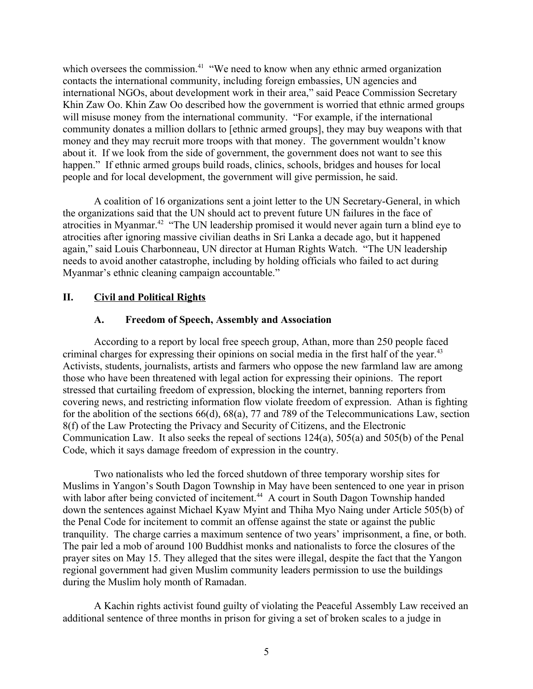which oversees the commission.<sup>41</sup> "We need to know when any ethnic armed organization contacts the international community, including foreign embassies, UN agencies and international NGOs, about development work in their area," said Peace Commission Secretary Khin Zaw Oo. Khin Zaw Oo described how the government is worried that ethnic armed groups will misuse money from the international community. "For example, if the international community donates a million dollars to [ethnic armed groups], they may buy weapons with that money and they may recruit more troops with that money. The government wouldn't know about it. If we look from the side of government, the government does not want to see this happen." If ethnic armed groups build roads, clinics, schools, bridges and houses for local people and for local development, the government will give permission, he said.

A coalition of 16 organizations sent a joint letter to the UN Secretary-General, in which the organizations said that the UN should act to prevent future UN failures in the face of atrocities in Myanmar.<sup>42</sup> "The UN leadership promised it would never again turn a blind eye to atrocities after ignoring massive civilian deaths in Sri Lanka a decade ago, but it happened again," said Louis Charbonneau, UN director at Human Rights Watch. "The UN leadership needs to avoid another catastrophe, including by holding officials who failed to act during Myanmar's ethnic cleaning campaign accountable."

## **II. Civil and Political Rights**

### <span id="page-4-1"></span><span id="page-4-0"></span>**A. Freedom of Speech, Assembly and Association**

According to a report by local free speech group, Athan, more than 250 people faced criminal charges for expressing their opinions on social media in the first half of the year.<sup>43</sup> Activists, students, journalists, artists and farmers who oppose the new farmland law are among those who have been threatened with legal action for expressing their opinions. The report stressed that curtailing freedom of expression, blocking the internet, banning reporters from covering news, and restricting information flow violate freedom of expression. Athan is fighting for the abolition of the sections 66(d), 68(a), 77 and 789 of the Telecommunications Law, section 8(f) of the Law Protecting the Privacy and Security of Citizens, and the Electronic Communication Law. It also seeks the repeal of sections 124(a), 505(a) and 505(b) of the Penal Code, which it says damage freedom of expression in the country.

Two nationalists who led the forced shutdown of three temporary worship sites for Muslims in Yangon's South Dagon Township in May have been sentenced to one year in prison with labor after being convicted of incitement.<sup>44</sup> A court in South Dagon Township handed down the sentences against Michael Kyaw Myint and Thiha Myo Naing under Article 505(b) of the Penal Code for incitement to commit an offense against the state or against the public tranquility. The charge carries a maximum sentence of two years' imprisonment, a fine, or both. The pair led a mob of around 100 Buddhist monks and nationalists to force the closures of the prayer sites on May 15. They alleged that the sites were illegal, despite the fact that the Yangon regional government had given Muslim community leaders permission to use the buildings during the Muslim holy month of Ramadan.

A Kachin rights activist found guilty of violating the Peaceful Assembly Law received an additional sentence of three months in prison for giving a set of broken scales to a judge in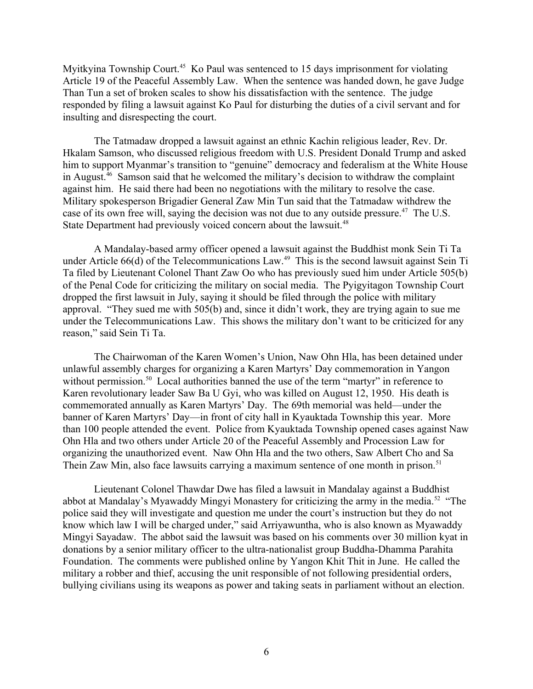Myitkyina Township Court.<sup>45</sup> Ko Paul was sentenced to 15 days imprisonment for violating Article 19 of the Peaceful Assembly Law. When the sentence was handed down, he gave Judge Than Tun a set of broken scales to show his dissatisfaction with the sentence. The judge responded by filing a lawsuit against Ko Paul for disturbing the duties of a civil servant and for insulting and disrespecting the court.

The Tatmadaw dropped a lawsuit against an ethnic Kachin religious leader, Rev. Dr. Hkalam Samson, who discussed religious freedom with U.S. President Donald Trump and asked him to support Myanmar's transition to "genuine" democracy and federalism at the White House in August.<sup>46</sup> Samson said that he welcomed the military's decision to withdraw the complaint against him. He said there had been no negotiations with the military to resolve the case. Military spokesperson Brigadier General Zaw Min Tun said that the Tatmadaw withdrew the case of its own free will, saying the decision was not due to any outside pressure.<sup>47</sup> The U.S. State Department had previously voiced concern about the lawsuit.<sup>48</sup>

A Mandalay-based army officer opened a lawsuit against the Buddhist monk Sein Ti Ta under Article 66(d) of the Telecommunications Law.<sup>49</sup> This is the second lawsuit against Sein Ti Ta filed by Lieutenant Colonel Thant Zaw Oo who has previously sued him under Article 505(b) of the Penal Code for criticizing the military on social media. The Pyigyitagon Township Court dropped the first lawsuit in July, saying it should be filed through the police with military approval. "They sued me with 505(b) and, since it didn't work, they are trying again to sue me under the Telecommunications Law. This shows the military don't want to be criticized for any reason," said Sein Ti Ta.

The Chairwoman of the Karen Women's Union, Naw Ohn Hla, has been detained under unlawful assembly charges for organizing a Karen Martyrs' Day commemoration in Yangon without permission.<sup>50</sup> Local authorities banned the use of the term "martyr" in reference to Karen revolutionary leader Saw Ba U Gyi, who was killed on August 12, 1950. His death is commemorated annually as Karen Martyrs' Day. The 69th memorial was held—under the banner of Karen Martyrs' Day—in front of city hall in Kyauktada Township this year. More than 100 people attended the event. Police from Kyauktada Township opened cases against Naw Ohn Hla and two others under Article 20 of the Peaceful Assembly and Procession Law for organizing the unauthorized event. Naw Ohn Hla and the two others, Saw Albert Cho and Sa Thein Zaw Min, also face lawsuits carrying a maximum sentence of one month in prison.<sup>51</sup>

Lieutenant Colonel Thawdar Dwe has filed a lawsuit in Mandalay against a Buddhist abbot at Mandalay's Myawaddy Mingyi Monastery for criticizing the army in the media.<sup>52</sup> "The police said they will investigate and question me under the court's instruction but they do not know which law I will be charged under," said Arriyawuntha, who is also known as Myawaddy Mingyi Sayadaw. The abbot said the lawsuit was based on his comments over 30 million kyat in donations by a senior military officer to the ultra-nationalist group Buddha-Dhamma Parahita Foundation. The comments were published online by Yangon Khit Thit in June. He called the military a robber and thief, accusing the unit responsible of not following presidential orders, bullying civilians using its weapons as power and taking seats in parliament without an election.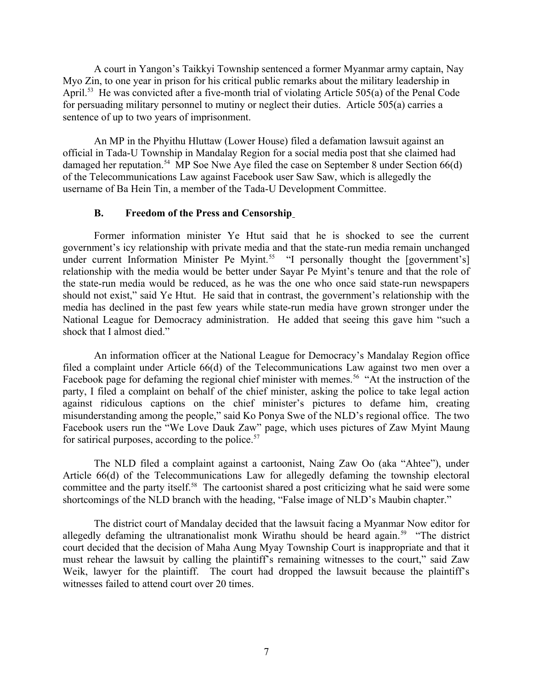A court in Yangon's Taikkyi Township sentenced a former Myanmar army captain, Nay Myo Zin, to one year in prison for his critical public remarks about the military leadership in April.<sup>53</sup> He was convicted after a five-month trial of violating Article 505(a) of the Penal Code for persuading military personnel to mutiny or neglect their duties. Article 505(a) carries a sentence of up to two years of imprisonment.

An MP in the Phyithu Hluttaw (Lower House) filed a defamation lawsuit against an official in Tada-U Township in Mandalay Region for a social media post that she claimed had damaged her reputation.<sup>54</sup> MP Soe Nwe Aye filed the case on September 8 under Section 66(d) of the Telecommunications Law against Facebook user Saw Saw, which is allegedly the username of Ba Hein Tin, a member of the Tada-U Development Committee.

### <span id="page-6-0"></span>**B. Freedom of the Press and Censorship**

Former information minister Ye Htut said that he is shocked to see the current government's icy relationship with private media and that the state-run media remain unchanged under current Information Minister Pe Myint.<sup>55</sup> "I personally thought the [government's] relationship with the media would be better under Sayar Pe Myint's tenure and that the role of the state-run media would be reduced, as he was the one who once said state-run newspapers should not exist," said Ye Htut. He said that in contrast, the government's relationship with the media has declined in the past few years while state-run media have grown stronger under the National League for Democracy administration. He added that seeing this gave him "such a shock that I almost died."

An information officer at the National League for Democracy's Mandalay Region office filed a complaint under Article 66(d) of the Telecommunications Law against two men over a Facebook page for defaming the regional chief minister with memes.<sup>56</sup> "At the instruction of the party, I filed a complaint on behalf of the chief minister, asking the police to take legal action against ridiculous captions on the chief minister's pictures to defame him, creating misunderstanding among the people," said Ko Ponya Swe of the NLD's regional office. The two Facebook users run the "We Love Dauk Zaw" page, which uses pictures of Zaw Myint Maung for satirical purposes, according to the police.<sup>57</sup>

The NLD filed a complaint against a cartoonist, Naing Zaw Oo (aka "Ahtee"), under Article 66(d) of the Telecommunications Law for allegedly defaming the township electoral committee and the party itself.<sup>58</sup> The cartoonist shared a post criticizing what he said were some shortcomings of the NLD branch with the heading, "False image of NLD's Maubin chapter."

The district court of Mandalay decided that the lawsuit facing a Myanmar Now editor for allegedly defaming the ultranationalist monk Wirathu should be heard again.<sup>59</sup> "The district court decided that the decision of Maha Aung Myay Township Court is inappropriate and that it must rehear the lawsuit by calling the plaintiff's remaining witnesses to the court," said Zaw Weik, lawyer for the plaintiff. The court had dropped the lawsuit because the plaintiff's witnesses failed to attend court over 20 times.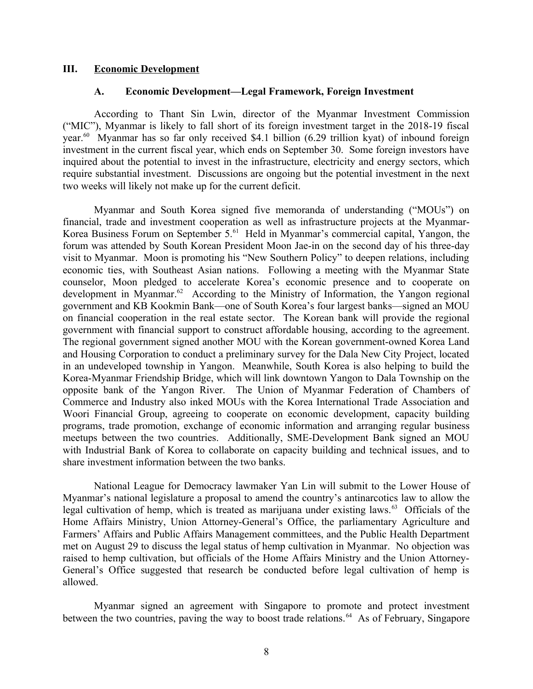#### **III. Economic Development**

#### <span id="page-7-1"></span><span id="page-7-0"></span>**A. Economic Development—Legal Framework, Foreign Investment**

According to Thant Sin Lwin, director of the Myanmar Investment Commission ("MIC"), Myanmar is likely to fall short of its foreign investment target in the 2018-19 fiscal year.<sup>60</sup> Myanmar has so far only received \$4.1 billion (6.29 trillion kyat) of inbound foreign investment in the current fiscal year, which ends on September 30. Some foreign investors have inquired about the potential to invest in the infrastructure, electricity and energy sectors, which require substantial investment. Discussions are ongoing but the potential investment in the next two weeks will likely not make up for the current deficit.

Myanmar and South Korea signed five memoranda of understanding ("MOUs") on financial, trade and investment cooperation as well as infrastructure projects at the Myanmar-Korea Business Forum on September 5.<sup>61</sup> Held in Myanmar's commercial capital, Yangon, the forum was attended by South Korean President Moon Jae-in on the second day of his three-day visit to Myanmar. Moon is promoting his "New Southern Policy" to deepen relations, including economic ties, with Southeast Asian nations. Following a meeting with the Myanmar State counselor, Moon pledged to accelerate Korea's economic presence and to cooperate on development in Myanmar.<sup>62</sup> According to the Ministry of Information, the Yangon regional government and KB Kookmin Bank—one of South Korea's four largest banks—signed an MOU on financial cooperation in the real estate sector. The Korean bank will provide the regional government with financial support to construct affordable housing, according to the agreement. The regional government signed another MOU with the Korean government-owned Korea Land and Housing Corporation to conduct a preliminary survey for the Dala New City Project, located in an undeveloped township in Yangon. Meanwhile, South Korea is also helping to build the Korea-Myanmar Friendship Bridge, which will link downtown Yangon to Dala Township on the opposite bank of the Yangon River. The Union of Myanmar Federation of Chambers of Commerce and Industry also inked MOUs with the Korea International Trade Association and Woori Financial Group, agreeing to cooperate on economic development, capacity building programs, trade promotion, exchange of economic information and arranging regular business meetups between the two countries. Additionally, SME-Development Bank signed an MOU with Industrial Bank of Korea to collaborate on capacity building and technical issues, and to share investment information between the two banks.

National League for Democracy lawmaker Yan Lin will submit to the Lower House of Myanmar's national legislature a proposal to amend the country's antinarcotics law to allow the legal cultivation of hemp, which is treated as marijuana under existing laws.<sup>63</sup> Officials of the Home Affairs Ministry, Union Attorney-General's Office, the parliamentary Agriculture and Farmers' Affairs and Public Affairs Management committees, and the Public Health Department met on August 29 to discuss the legal status of hemp cultivation in Myanmar. No objection was raised to hemp cultivation, but officials of the Home Affairs Ministry and the Union Attorney-General's Office suggested that research be conducted before legal cultivation of hemp is allowed.

Myanmar signed an agreement with Singapore to promote and protect investment between the two countries, paving the way to boost trade relations.<sup>64</sup> As of February, Singapore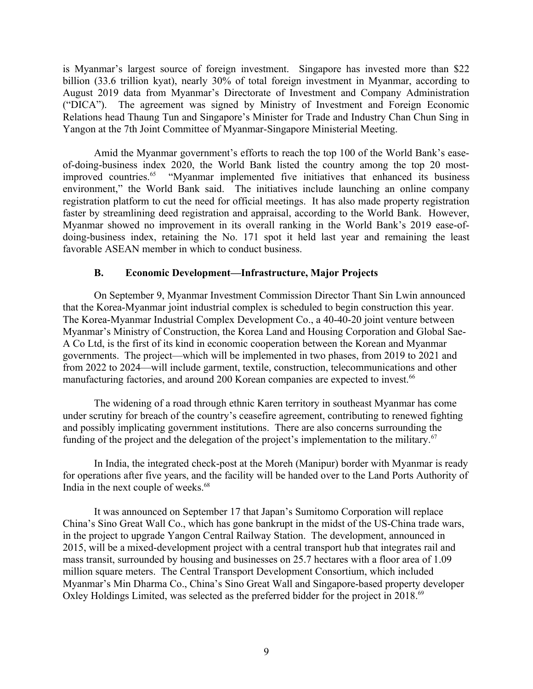is Myanmar's largest source of foreign investment. Singapore has invested more than \$22 billion (33.6 trillion kyat), nearly 30% of total foreign investment in Myanmar, according to August 2019 data from Myanmar's Directorate of Investment and Company Administration ("DICA"). The agreement was signed by Ministry of Investment and Foreign Economic Relations head Thaung Tun and Singapore's Minister for Trade and Industry Chan Chun Sing in Yangon at the 7th Joint Committee of Myanmar-Singapore Ministerial Meeting.

Amid the Myanmar government's efforts to reach the top 100 of the World Bank's easeof-doing-business index 2020, the World Bank listed the country among the top 20 mostimproved countries.<sup>65</sup> "Myanmar implemented five initiatives that enhanced its business environment," the World Bank said. The initiatives include launching an online company registration platform to cut the need for official meetings. It has also made property registration faster by streamlining deed registration and appraisal, according to the World Bank. However, Myanmar showed no improvement in its overall ranking in the World Bank's 2019 ease-ofdoing-business index, retaining the No. 171 spot it held last year and remaining the least favorable ASEAN member in which to conduct business.

## <span id="page-8-0"></span>**B. Economic Development—Infrastructure, Major Projects**

On September 9, Myanmar Investment Commission Director Thant Sin Lwin announced that the Korea-Myanmar joint industrial complex is scheduled to begin construction this year. The Korea-Myanmar Industrial Complex Development Co., a 40-40-20 joint venture between Myanmar's Ministry of Construction, the Korea Land and Housing Corporation and Global Sae-A Co Ltd, is the first of its kind in economic cooperation between the Korean and Myanmar governments. The project—which will be implemented in two phases, from 2019 to 2021 and from 2022 to 2024—will include garment, textile, construction, telecommunications and other manufacturing factories, and around 200 Korean companies are expected to invest.<sup>66</sup>

The widening of a road through ethnic Karen territory in southeast Myanmar has come under scrutiny for breach of the country's ceasefire agreement, contributing to renewed fighting and possibly implicating government institutions. There are also concerns surrounding the funding of the project and the delegation of the project's implementation to the military.<sup>67</sup>

In India, the integrated check-post at the Moreh (Manipur) border with Myanmar is ready for operations after five years, and the facility will be handed over to the Land Ports Authority of India in the next couple of weeks.<sup>68</sup>

It was announced on September 17 that Japan's Sumitomo Corporation will replace China's Sino Great Wall Co., which has gone bankrupt in the midst of the US-China trade wars, in the project to upgrade Yangon Central Railway Station. The development, announced in 2015, will be a mixed-development project with a central transport hub that integrates rail and mass transit, surrounded by housing and businesses on 25.7 hectares with a floor area of 1.09 million square meters. The Central Transport Development Consortium, which included Myanmar's Min Dharma Co., China's Sino Great Wall and Singapore-based property developer Oxley Holdings Limited, was selected as the preferred bidder for the project in 2018.<sup>69</sup>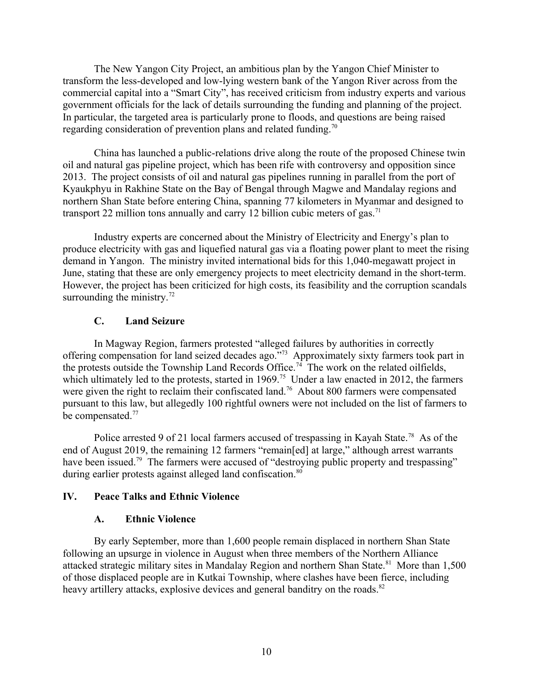The New Yangon City Project, an ambitious plan by the Yangon Chief Minister to transform the less-developed and low-lying western bank of the Yangon River across from the commercial capital into a "Smart City", has received criticism from industry experts and various government officials for the lack of details surrounding the funding and planning of the project. In particular, the targeted area is particularly prone to floods, and questions are being raised regarding consideration of prevention plans and related funding.<sup>70</sup>

China has launched a public-relations drive along the route of the proposed Chinese twin oil and natural gas pipeline project, which has been rife with controversy and opposition since 2013. The project consists of oil and natural gas pipelines running in parallel from the port of Kyaukphyu in Rakhine State on the Bay of Bengal through Magwe and Mandalay regions and northern Shan State before entering China, spanning 77 kilometers in Myanmar and designed to transport 22 million tons annually and carry 12 billion cubic meters of gas.<sup>71</sup>

Industry experts are concerned about the Ministry of Electricity and Energy's plan to produce electricity with gas and liquefied natural gas via a floating power plant to meet the rising demand in Yangon. The ministry invited international bids for this 1,040-megawatt project in June, stating that these are only emergency projects to meet electricity demand in the short-term. However, the project has been criticized for high costs, its feasibility and the corruption scandals surrounding the ministry. $72$ 

## <span id="page-9-2"></span>**C. Land Seizure**

In Magway Region, farmers protested "alleged failures by authorities in correctly offering compensation for land seized decades ago."<sup>73</sup> Approximately sixty farmers took part in the protests outside the Township Land Records Office.<sup>74</sup> The work on the related oilfields, which ultimately led to the protests, started in 1969.<sup>75</sup> Under a law enacted in 2012, the farmers were given the right to reclaim their confiscated land.<sup>76</sup> About 800 farmers were compensated pursuant to this law, but allegedly 100 rightful owners were not included on the list of farmers to be compensated.<sup>77</sup>

Police arrested 9 of 21 local farmers accused of trespassing in Kayah State.<sup>78</sup> As of the end of August 2019, the remaining 12 farmers "remain[ed] at large," although arrest warrants have been issued.<sup>79</sup> The farmers were accused of "destroying public property and trespassing" during earlier protests against alleged land confiscation.<sup>80</sup>

### **IV. Peace Talks and Ethnic Violence**

### <span id="page-9-1"></span><span id="page-9-0"></span>**A. Ethnic Violence**

By early September, more than 1,600 people remain displaced in northern Shan State following an upsurge in violence in August when three members of the Northern Alliance attacked strategic military sites in Mandalay Region and northern Shan State.<sup>81</sup> More than 1,500 of those displaced people are in Kutkai Township, where clashes have been fierce, including heavy artillery attacks, explosive devices and general banditry on the roads.<sup>82</sup>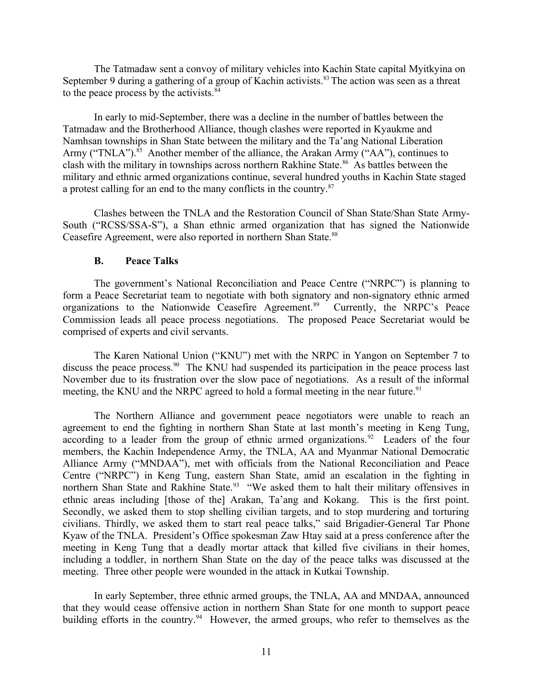The Tatmadaw sent a convoy of military vehicles into Kachin State capital Myitkyina on September 9 during a gathering of a group of Kachin activists.<sup>83</sup> The action was seen as a threat to the peace process by the activists.<sup>84</sup>

In early to mid-September, there was a decline in the number of battles between the Tatmadaw and the Brotherhood Alliance, though clashes were reported in Kyaukme and Namhsan townships in Shan State between the military and the Ta'ang National Liberation Army ("TNLA").<sup>85</sup> Another member of the alliance, the Arakan Army ("AA"), continues to clash with the military in townships across northern Rakhine State.<sup>86</sup> As battles between the military and ethnic armed organizations continue, several hundred youths in Kachin State staged a protest calling for an end to the many conflicts in the country.<sup>87</sup>

Clashes between the TNLA and the Restoration Council of Shan State/Shan State Army-South ("RCSS/SSA-S"), a Shan ethnic armed organization that has signed the Nationwide Ceasefire Agreement, were also reported in northern Shan State.<sup>88</sup>

### <span id="page-10-0"></span>**B. Peace Talks**

The government's National Reconciliation and Peace Centre ("NRPC") is planning to form a Peace Secretariat team to negotiate with both signatory and non-signatory ethnic armed organizations to the Nationwide Ceasefire Agreement.<sup>89</sup> Currently, the NRPC's Peace Commission leads all peace process negotiations. The proposed Peace Secretariat would be comprised of experts and civil servants.

The Karen National Union ("KNU") met with the NRPC in Yangon on September 7 to discuss the peace process.<sup>90</sup> The KNU had suspended its participation in the peace process last November due to its frustration over the slow pace of negotiations. As a result of the informal meeting, the KNU and the NRPC agreed to hold a formal meeting in the near future.<sup>91</sup>

The Northern Alliance and government peace negotiators were unable to reach an agreement to end the fighting in northern Shan State at last month's meeting in Keng Tung, according to a leader from the group of ethnic armed organizations.<sup>92</sup> Leaders of the four members, the Kachin Independence Army, the TNLA, AA and Myanmar National Democratic Alliance Army ("MNDAA"), met with officials from the National Reconciliation and Peace Centre ("NRPC") in Keng Tung, eastern Shan State, amid an escalation in the fighting in northern Shan State and Rakhine State.<sup>93</sup> "We asked them to halt their military offensives in ethnic areas including [those of the] Arakan, Ta'ang and Kokang. This is the first point. Secondly, we asked them to stop shelling civilian targets, and to stop murdering and torturing civilians. Thirdly, we asked them to start real peace talks," said Brigadier-General Tar Phone Kyaw of the TNLA. President's Office spokesman Zaw Htay said at a press conference after the meeting in Keng Tung that a deadly mortar attack that killed five civilians in their homes, including a toddler, in northern Shan State on the day of the peace talks was discussed at the meeting. Three other people were wounded in the attack in Kutkai Township.

In early September, three ethnic armed groups, the TNLA, AA and MNDAA, announced that they would cease offensive action in northern Shan State for one month to support peace building efforts in the country.<sup>94</sup> However, the armed groups, who refer to themselves as the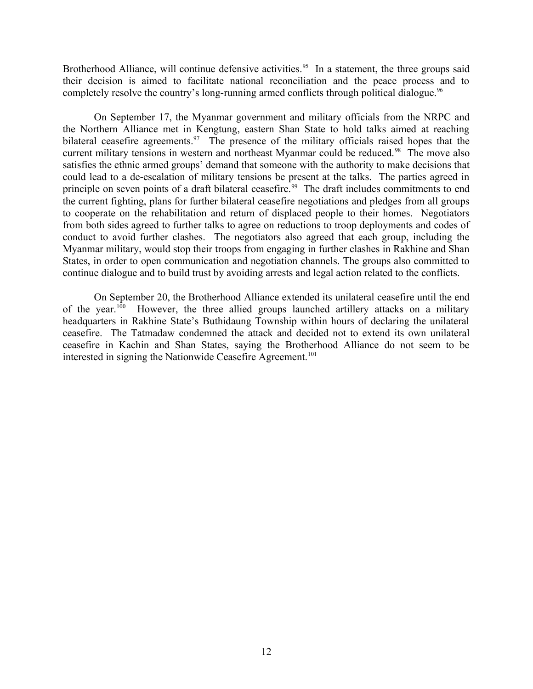Brotherhood Alliance, will continue defensive activities.<sup>95</sup> In a statement, the three groups said their decision is aimed to facilitate national reconciliation and the peace process and to completely resolve the country's long-running armed conflicts through political dialogue.<sup>96</sup>

On September 17, the Myanmar government and military officials from the NRPC and the Northern Alliance met in Kengtung, eastern Shan State to hold talks aimed at reaching bilateral ceasefire agreements.<sup>97</sup> The presence of the military officials raised hopes that the current military tensions in western and northeast Myanmar could be reduced.<sup>98</sup> The move also satisfies the ethnic armed groups' demand that someone with the authority to make decisions that could lead to a de-escalation of military tensions be present at the talks. The parties agreed in principle on seven points of a draft bilateral ceasefire.<sup>99</sup> The draft includes commitments to end the current fighting, plans for further bilateral ceasefire negotiations and pledges from all groups to cooperate on the rehabilitation and return of displaced people to their homes. Negotiators from both sides agreed to further talks to agree on reductions to troop deployments and codes of conduct to avoid further clashes. The negotiators also agreed that each group, including the Myanmar military, would stop their troops from engaging in further clashes in Rakhine and Shan States, in order to open communication and negotiation channels. The groups also committed to continue dialogue and to build trust by avoiding arrests and legal action related to the conflicts.

On September 20, the Brotherhood Alliance extended its unilateral ceasefire until the end of the year.<sup>100</sup> However, the three allied groups launched artillery attacks on a military headquarters in Rakhine State's Buthidaung Township within hours of declaring the unilateral ceasefire. The Tatmadaw condemned the attack and decided not to extend its own unilateral ceasefire in Kachin and Shan States, saying the Brotherhood Alliance do not seem to be interested in signing the Nationwide Ceasefire Agreement.<sup>101</sup>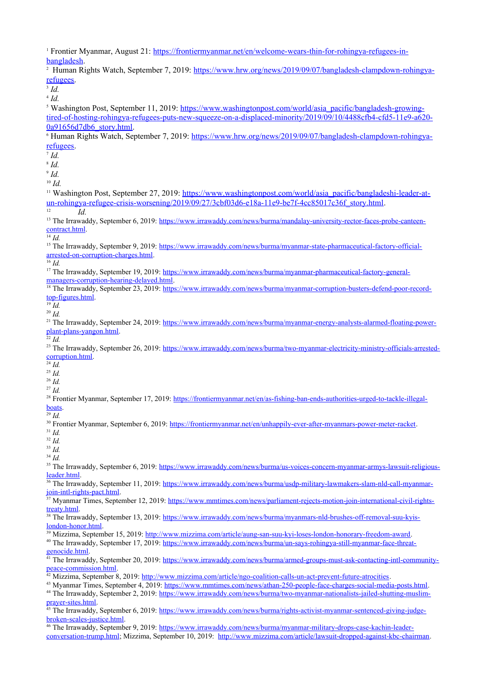<sup>1</sup> Frontier Myanmar, August 21: [https://frontiermyanmar.net/en/welcome-wears-thin-for-rohingya-refugees-in](https://frontiermyanmar.net/en/welcome-wears-thin-for-rohingya-refugees-in-bangladesh)[bangladesh.](https://frontiermyanmar.net/en/welcome-wears-thin-for-rohingya-refugees-in-bangladesh)

<sup>2</sup> Human Rights Watch, September 7, 2019: [https://www.hrw.org/news/2019/09/07/bangladesh-clampdown-rohingya](https://www.hrw.org/news/2019/09/07/bangladesh-clampdown-rohingya-refugees)[refugees.](https://www.hrw.org/news/2019/09/07/bangladesh-clampdown-rohingya-refugees)

3 *Id.*

4 *Id.* <sup>5</sup> Washington Post, September 11, 2019: [https://www.washingtonpost.com/world/asia\\_pacific/bangladesh-growing](https://www.washingtonpost.com/world/asia_pacific/bangladesh-growing-tired-of-hosting-rohingya-refugees-puts-new-squeeze-on-a-displaced-minority/2019/09/10/4488cfb4-cfd5-11e9-a620-0a91656d7db6_story.html)[tired-of-hosting-rohingya-refugees-puts-new-squeeze-on-a-displaced-minority/2019/09/10/4488cfb4-cfd5-11e9-a620-](https://www.washingtonpost.com/world/asia_pacific/bangladesh-growing-tired-of-hosting-rohingya-refugees-puts-new-squeeze-on-a-displaced-minority/2019/09/10/4488cfb4-cfd5-11e9-a620-0a91656d7db6_story.html) [0a91656d7db6\\_story.html](https://www.washingtonpost.com/world/asia_pacific/bangladesh-growing-tired-of-hosting-rohingya-refugees-puts-new-squeeze-on-a-displaced-minority/2019/09/10/4488cfb4-cfd5-11e9-a620-0a91656d7db6_story.html). <sup>6</sup> Human Rights Watch, September 7, 2019: [https://www.hrw.org/news/2019/09/07/bangladesh-clampdown-rohingya](https://www.hrw.org/news/2019/09/07/bangladesh-clampdown-rohingya-refugees)[refugees.](https://www.hrw.org/news/2019/09/07/bangladesh-clampdown-rohingya-refugees) 7 *Id.* 8 *Id.* 9 *Id.*  <sup>10</sup> *Id.* <sup>11</sup> Washington Post, September 27, 2019: [https://www.washingtonpost.com/world/asia\\_pacific/bangladeshi-leader-at](https://www.washingtonpost.com/world/asia_pacific/bangladeshi-leader-at-un-rohingya-refugee-crisis-worsening/2019/09/27/3cbf03d6-e18a-11e9-be7f-4cc85017c36f_story.html)un-rohingya-refugee-crisis-worsening/2019/09/27/3cbf03d6-e18a-11e9-be7f-4cc85017c36f story.html. <sup>12</sup> *Id.* <sup>13</sup> The Irrawaddy, September 6, 2019: [https://www.irrawaddy.com/news/burma/mandalay-university-rector-faces-probe-canteen](https://www.irrawaddy.com/news/burma/mandalay-university-rector-faces-probe-canteen-contract.html)[contract.html.](https://www.irrawaddy.com/news/burma/mandalay-university-rector-faces-probe-canteen-contract.html)  $\overline{14}$  *Id.* <sup>15</sup> The Irrawaddy, September 9, 2019: [https://www.irrawaddy.com/news/burma/myanmar-state-pharmaceutical-factory-official](https://www.irrawaddy.com/news/burma/myanmar-state-pharmaceutical-factory-official-arrested-on-corruption-charges.html)[arrested-on-corruption-charges.html](https://www.irrawaddy.com/news/burma/myanmar-state-pharmaceutical-factory-official-arrested-on-corruption-charges.html).  $\overline{16}$  *Id.* <sup>17</sup> The Irrawaddy, September 19, 2019: [https://www.irrawaddy.com/news/burma/myanmar-pharmaceutical-factory-general](https://www.irrawaddy.com/news/burma/myanmar-pharmaceutical-factory-general-managers-corruption-hearing-delayed.html)[managers-corruption-hearing-delayed.html](https://www.irrawaddy.com/news/burma/myanmar-pharmaceutical-factory-general-managers-corruption-hearing-delayed.html). <sup>18</sup> The Irrawaddy, September 23, 2019: [https://www.irrawaddy.com/news/burma/myanmar-corruption-busters-defend-poor-record](https://www.irrawaddy.com/news/burma/myanmar-corruption-busters-defend-poor-record-top-figures.html)[top-figures.html](https://www.irrawaddy.com/news/burma/myanmar-corruption-busters-defend-poor-record-top-figures.html).  $^{19}$  *Id.* <sup>20</sup> *Id.* <sup>21</sup> The Irrawaddy, September 24, 2019: [https://www.irrawaddy.com/news/burma/myanmar-energy-analysts-alarmed-floating-power](https://www.irrawaddy.com/news/burma/myanmar-energy-analysts-alarmed-floating-power-plant-plans-yangon.html)[plant-plans-yangon.html](https://www.irrawaddy.com/news/burma/myanmar-energy-analysts-alarmed-floating-power-plant-plans-yangon.html). <sup>22</sup> *Id.* <sup>23</sup> The Irrawaddy, September 26, 2019: [https://www.irrawaddy.com/news/burma/two-myanmar-electricity-ministry-officials-arrested](https://www.irrawaddy.com/news/burma/two-myanmar-electricity-ministry-officials-arrested-corruption.html)[corruption.html](https://www.irrawaddy.com/news/burma/two-myanmar-electricity-ministry-officials-arrested-corruption.html).  $\frac{24}{24}$  *Id.* <sup>25</sup> *Id.* <sup>26</sup> *Id.* <sup>27</sup> *Id.* <sup>28</sup> Frontier Myanmar, September 17, 2019: [https://frontiermyanmar.net/en/as-fishing-ban-ends-authorities-urged-to-tackle-illegal](https://frontiermyanmar.net/en/as-fishing-ban-ends-authorities-urged-to-tackle-illegal-boats)[boats.](https://frontiermyanmar.net/en/as-fishing-ban-ends-authorities-urged-to-tackle-illegal-boats) <sup>29</sup> *Id.* <sup>30</sup> Frontier Myanmar, September 6, 2019: [https://frontiermyanmar.net/en/unhappily-ever-after-myanmars-power-meter-racket.](https://frontiermyanmar.net/en/unhappily-ever-after-myanmars-power-meter-racket) <sup>31</sup> *Id.* <sup>32</sup> *Id.* <sup>33</sup> *Id.* <sup>34</sup> *Id.* <sup>35</sup> The Irrawaddy, September 6, 2019: [https://www.irrawaddy.com/news/burma/us-voices-concern-myanmar-armys-lawsuit-religious](https://www.irrawaddy.com/news/burma/us-voices-concern-myanmar-armys-lawsuit-religious-leader.html)[leader.html.](https://www.irrawaddy.com/news/burma/us-voices-concern-myanmar-armys-lawsuit-religious-leader.html) 36 The Irrawaddy, September 11, 2019: [https://www.irrawaddy.com/news/burma/usdp-military-lawmakers-slam-nld-call-myanmar](https://www.irrawaddy.com/news/burma/usdp-military-lawmakers-slam-nld-call-myanmar-join-intl-rights-pact.html)[join-intl-rights-pact.html](https://www.irrawaddy.com/news/burma/usdp-military-lawmakers-slam-nld-call-myanmar-join-intl-rights-pact.html). 37 Myanmar Times, September 12, 2019: [https://www.mmtimes.com/news/parliament-rejects-motion-join-international-civil-rights](https://www.mmtimes.com/news/parliament-rejects-motion-join-international-civil-rights-treaty.html)[treaty.html](https://www.mmtimes.com/news/parliament-rejects-motion-join-international-civil-rights-treaty.html). <sup>38</sup> The Irrawaddy, September 13, 2019: [https://www.irrawaddy.com/news/burma/myanmars-nld-brushes-off-removal-suu-kyis](https://www.irrawaddy.com/news/burma/myanmars-nld-brushes-off-removal-suu-kyis-london-honor.html)[london-honor.html.](https://www.irrawaddy.com/news/burma/myanmars-nld-brushes-off-removal-suu-kyis-london-honor.html) <sup>39</sup> Mizzima, September 15, 2019: <http://www.mizzima.com/article/aung-san-suu-kyi-loses-london-honorary-freedom-award>. <sup>40</sup> The Irrawaddy, September 17, 2019: [https://www.irrawaddy.com/news/burma/un-says-rohingya-still-myanmar-face-threat](https://www.irrawaddy.com/news/burma/un-says-rohingya-still-myanmar-face-threat-genocide.html)[genocide.html](https://www.irrawaddy.com/news/burma/un-says-rohingya-still-myanmar-face-threat-genocide.html). 41 The Irrawaddy, September 20, 2019: [https://www.irrawaddy.com/news/burma/armed-groups-must-ask-contacting-intl-community](https://www.irrawaddy.com/news/burma/armed-groups-must-ask-contacting-intl-community-peace-commission.html)[peace-commission.html](https://www.irrawaddy.com/news/burma/armed-groups-must-ask-contacting-intl-community-peace-commission.html).  $^{42}$  Mizzima, September 8, 2019:<http://www.mizzima.com/article/ngo-coalition-calls-un-act-prevent-future-atrocities>. <sup>43</sup> Myanmar Times, September 4, 2019: <https://www.mmtimes.com/news/athan-250-people-face-charges-social-media-posts.html>.

<sup>44</sup> The Irrawaddy, September 2, 2019: [https://www.irrawaddy.com/news/burma/two-myanmar-nationalists-jailed-shutting-muslim](https://www.irrawaddy.com/news/burma/two-myanmar-nationalists-jailed-shutting-muslim-prayer-sites.html)[prayer-sites.html.](https://www.irrawaddy.com/news/burma/two-myanmar-nationalists-jailed-shutting-muslim-prayer-sites.html)

<sup>45</sup> The Irrawaddy, September 6, 2019: [https://www.irrawaddy.com/news/burma/rights-activist-myanmar-sentenced-giving-judge](https://www.irrawaddy.com/news/burma/rights-activist-myanmar-sentenced-giving-judge-broken-scales-justice.html)[broken-scales-justice.html](https://www.irrawaddy.com/news/burma/rights-activist-myanmar-sentenced-giving-judge-broken-scales-justice.html).

<sup>46</sup> The Irrawaddy, September 9, 2019: [https://www.irrawaddy.com/news/burma/myanmar-military-drops-case-kachin-leader](https://www.irrawaddy.com/news/burma/myanmar-military-drops-case-kachin-leader-conversation-trump.html)[conversation-trump.html](https://www.irrawaddy.com/news/burma/myanmar-military-drops-case-kachin-leader-conversation-trump.html); Mizzima, September 10, 2019: <http://www.mizzima.com/article/lawsuit-dropped-against-kbc-chairman>.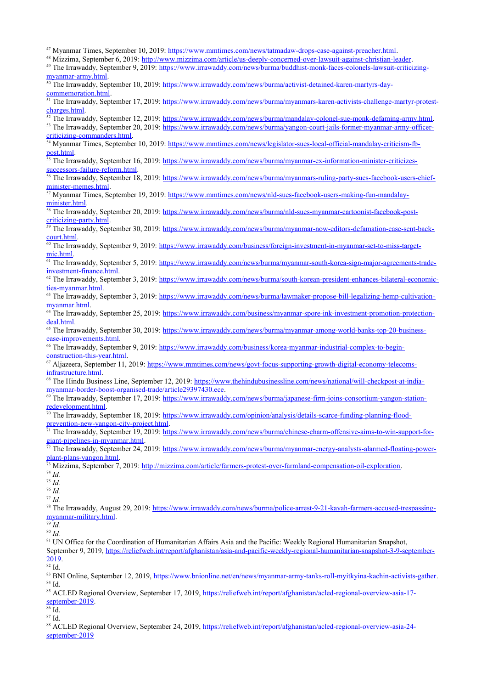<sup>47</sup> Myanmar Times, September 10, 2019: [https://www.mmtimes.com/news/tatmadaw-drops-case-against-preacher.html.](https://www.mmtimes.com/news/tatmadaw-drops-case-against-preacher.html)

<sup>48</sup> Mizzima, September 6, 2019:<http://www.mizzima.com/article/us-deeply-concerned-over-lawsuit-against-christian-leader>.

<sup>49</sup> The Irrawaddy, September 9, 2019: [https://www.irrawaddy.com/news/burma/buddhist-monk-faces-colonels-lawsuit-criticizing](https://www.irrawaddy.com/news/burma/buddhist-monk-faces-colonels-lawsuit-criticizing-myanmar-army.html)[myanmar-army.html](https://www.irrawaddy.com/news/burma/buddhist-monk-faces-colonels-lawsuit-criticizing-myanmar-army.html).

<sup>50</sup> The Irrawaddy, September 10, 2019: [https://www.irrawaddy.com/news/burma/activist-detained-karen-martyrs-day](https://www.irrawaddy.com/news/burma/activist-detained-karen-martyrs-day-commemoration.html)[commemoration.html.](https://www.irrawaddy.com/news/burma/activist-detained-karen-martyrs-day-commemoration.html)

51 The Irrawaddy, September 17, 2019: [https://www.irrawaddy.com/news/burma/myanmars-karen-activists-challenge-martyr-protest](https://www.irrawaddy.com/news/burma/myanmars-karen-activists-challenge-martyr-protest-charges.html)[charges.html](https://www.irrawaddy.com/news/burma/myanmars-karen-activists-challenge-martyr-protest-charges.html).

 $52$  The Irrawaddy, September 12, 2019: <https://www.irrawaddy.com/news/burma/mandalay-colonel-sue-monk-defaming-army.html>.

<sup>53</sup> The Irrawaddy, September 20, 2019: [https://www.irrawaddy.com/news/burma/yangon-court-jails-former-myanmar-army-officer](https://www.irrawaddy.com/news/burma/yangon-court-jails-former-myanmar-army-officer-criticizing-commanders.html)[criticizing-commanders.html](https://www.irrawaddy.com/news/burma/yangon-court-jails-former-myanmar-army-officer-criticizing-commanders.html).

<sup>54</sup> Myanmar Times, September 10, 2019: [https://www.mmtimes.com/news/legislator-sues-local-official-mandalay-criticism-fb](https://www.mmtimes.com/news/legislator-sues-local-official-mandalay-criticism-fb-post.html)[post.html.](https://www.mmtimes.com/news/legislator-sues-local-official-mandalay-criticism-fb-post.html)

<sup>55</sup> The Irrawaddy, September 16, 2019: [https://www.irrawaddy.com/news/burma/myanmar-ex-information-minister-criticizes](https://www.irrawaddy.com/news/burma/myanmar-ex-information-minister-criticizes-successors-failure-reform.html)[successors-failure-reform.html](https://www.irrawaddy.com/news/burma/myanmar-ex-information-minister-criticizes-successors-failure-reform.html).

<sup>56</sup> The Irrawaddy, September 18, 2019: [https://www.irrawaddy.com/news/burma/myanmars-ruling-party-sues-facebook-users-chief](https://www.irrawaddy.com/news/burma/myanmars-ruling-party-sues-facebook-users-chief-minister-memes.html)[minister-memes.html.](https://www.irrawaddy.com/news/burma/myanmars-ruling-party-sues-facebook-users-chief-minister-memes.html)

57 Myanmar Times, September 19, 2019: [https://www.mmtimes.com/news/nld-sues-facebook-users-making-fun-mandalay](https://www.mmtimes.com/news/nld-sues-facebook-users-making-fun-mandalay-minister.html)[minister.html](https://www.mmtimes.com/news/nld-sues-facebook-users-making-fun-mandalay-minister.html).

<sup>58</sup> The Irrawaddy, September 20, 2019: [https://www.irrawaddy.com/news/burma/nld-sues-myanmar-cartoonist-facebook-post](https://www.irrawaddy.com/news/burma/nld-sues-myanmar-cartoonist-facebook-post-criticizing-party.html)[criticizing-party.html](https://www.irrawaddy.com/news/burma/nld-sues-myanmar-cartoonist-facebook-post-criticizing-party.html).

<sup>59</sup> The Irrawaddy, September 30, 2019: [https://www.irrawaddy.com/news/burma/myanmar-now-editors-defamation-case-sent-back](https://www.irrawaddy.com/news/burma/myanmar-now-editors-defamation-case-sent-back-court.html)[court.html](https://www.irrawaddy.com/news/burma/myanmar-now-editors-defamation-case-sent-back-court.html).

<sup>60</sup> The Irrawaddy, September 9, 2019: [https://www.irrawaddy.com/business/foreign-investment-in-myanmar-set-to-miss-target](https://www.irrawaddy.com/business/foreign-investment-in-myanmar-set-to-miss-target-mic.html)[mic.html](https://www.irrawaddy.com/business/foreign-investment-in-myanmar-set-to-miss-target-mic.html).

<sup>61</sup> The Irrawaddy, September 5, 2019: [https://www.irrawaddy.com/news/burma/myanmar-south-korea-sign-major-agreements-trade](https://www.irrawaddy.com/news/burma/myanmar-south-korea-sign-major-agreements-trade-investment-finance.html)[investment-finance.html](https://www.irrawaddy.com/news/burma/myanmar-south-korea-sign-major-agreements-trade-investment-finance.html).

<sup>62</sup> The Irrawaddy, September 3, 2019: [https://www.irrawaddy.com/news/burma/south-korean-president-enhances-bilateral-economic](https://www.irrawaddy.com/news/burma/south-korean-president-enhances-bilateral-economic-ties-myanmar.html)[ties-myanmar.html](https://www.irrawaddy.com/news/burma/south-korean-president-enhances-bilateral-economic-ties-myanmar.html).

<sup>63</sup> The Irrawaddy, September 3, 2019: [https://www.irrawaddy.com/news/burma/lawmaker-propose-bill-legalizing-hemp-cultivation](https://www.irrawaddy.com/news/burma/lawmaker-propose-bill-legalizing-hemp-cultivation-myanmar.html)[myanmar.html.](https://www.irrawaddy.com/news/burma/lawmaker-propose-bill-legalizing-hemp-cultivation-myanmar.html)

<sup>64</sup> The Irrawaddy, September 25, 2019: [https://www.irrawaddy.com/business/myanmar-spore-ink-investment-promotion-protection](https://www.irrawaddy.com/business/myanmar-spore-ink-investment-promotion-protection-deal.html)[deal.html.](https://www.irrawaddy.com/business/myanmar-spore-ink-investment-promotion-protection-deal.html)

<sup>65</sup> The Irrawaddy, September 30, 2019: [https://www.irrawaddy.com/news/burma/myanmar-among-world-banks-top-20-business](https://www.irrawaddy.com/news/burma/myanmar-among-world-banks-top-20-business-ease-improvements.html)[ease-improvements.html](https://www.irrawaddy.com/news/burma/myanmar-among-world-banks-top-20-business-ease-improvements.html).

66 The Irrawaddy, September 9, 2019: [https://www.irrawaddy.com/business/korea-myanmar-industrial-complex-to-begin](https://www.irrawaddy.com/business/korea-myanmar-industrial-complex-to-begin-construction-this-year.html)[construction-this-year.html](https://www.irrawaddy.com/business/korea-myanmar-industrial-complex-to-begin-construction-this-year.html).

67 Aljazeera, September 11, 2019: [https://www.mmtimes.com/news/govt-focus-supporting-growth-digital-economy-telecoms](https://www.mmtimes.com/news/govt-focus-supporting-growth-digital-economy-telecoms-infrastructure.html)[infrastructure.html](https://www.mmtimes.com/news/govt-focus-supporting-growth-digital-economy-telecoms-infrastructure.html).

<sup>68</sup> The Hindu Business Line, September 12, 2019: [https://www.thehindubusinessline.com/news/national/will-checkpost-at-india](https://www.thehindubusinessline.com/news/national/will-checkpost-at-india-myanmar-border-boost-organised-trade/article29397430.ece)[myanmar-border-boost-organised-trade/article29397430.ece](https://www.thehindubusinessline.com/news/national/will-checkpost-at-india-myanmar-border-boost-organised-trade/article29397430.ece).

<sup>69</sup> The Irrawaddy, September 17, 2019: [https://www.irrawaddy.com/news/burma/japanese-firm-joins-consortium-yangon-station](https://www.irrawaddy.com/news/burma/japanese-firm-joins-consortium-yangon-station-redevelopment.html)[redevelopment.html](https://www.irrawaddy.com/news/burma/japanese-firm-joins-consortium-yangon-station-redevelopment.html).

<sup>70</sup> The Irrawaddy, September 18, 2019: [https://www.irrawaddy.com/opinion/analysis/details-scarce-funding-planning-flood](https://www.irrawaddy.com/opinion/analysis/details-scarce-funding-planning-flood-prevention-new-yangon-city-project.html)[prevention-new-yangon-city-project.html](https://www.irrawaddy.com/opinion/analysis/details-scarce-funding-planning-flood-prevention-new-yangon-city-project.html).

<sup>71</sup> The Irrawaddy, September 19, 2019: [https://www.irrawaddy.com/news/burma/chinese-charm-offensive-aims-to-win-support-for](https://www.irrawaddy.com/news/burma/chinese-charm-offensive-aims-to-win-support-for-giant-pipelines-in-myanmar.html)[giant-pipelines-in-myanmar.html](https://www.irrawaddy.com/news/burma/chinese-charm-offensive-aims-to-win-support-for-giant-pipelines-in-myanmar.html).

<sup>72</sup> The Irrawaddy, September 24, 2019: [https://www.irrawaddy.com/news/burma/myanmar-energy-analysts-alarmed-floating-power](https://www.irrawaddy.com/news/burma/myanmar-energy-analysts-alarmed-floating-power-plant-plans-yangon.html)[plant-plans-yangon.html](https://www.irrawaddy.com/news/burma/myanmar-energy-analysts-alarmed-floating-power-plant-plans-yangon.html).

<sup>73</sup> Mizzima, September 7, 2019: <u>http://mizzima.com/article/farmers-protest-over-farmland-compensation-oil-exploration</u>.

<sup>74</sup> *Id.*

<sup>75</sup> *Id.* <sup>76</sup> *Id.*

<sup>77</sup> *Id.*

<sup>78</sup> The Irrawaddy, August 29, 2019: [https://www.irrawaddy.com/news/burma/police-arrest-9-21-kayah-farmers-accused-trespassing](https://www.irrawaddy.com/news/burma/police-arrest-9-21-kayah-farmers-accused-trespassing-myanmar-military.html)[myanmar-military.html](https://www.irrawaddy.com/news/burma/police-arrest-9-21-kayah-farmers-accused-trespassing-myanmar-military.html).

<sup>79</sup> *Id.*

<sup>80</sup> *Id.*

<sup>81</sup> UN Office for the Coordination of Humanitarian Affairs Asia and the Pacific: Weekly Regional Humanitarian Snapshot, September 9, 2019, [https://reliefweb.int/report/afghanistan/asia-and-pacific-weekly-regional-humanitarian-snapshot-3-9-september-](https://reliefweb.int/report/afghanistan/asia-and-pacific-weekly-regional-humanitarian-snapshot-3-9-september-2019)[2019.](https://reliefweb.int/report/afghanistan/asia-and-pacific-weekly-regional-humanitarian-snapshot-3-9-september-2019)

 $rac{1}{82}$  Id.

83 BNI Online, September 12, 2019, [https://www.bnionline.net/en/news/myanmar-army-tanks-roll-myitkyina-kachin-activists-gather.](https://www.bnionline.net/en/news/myanmar-army-tanks-roll-myitkyina-kachin-activists-gather) <sup>84</sup> Id.

<sup>85</sup> ACLED Regional Overview, September 17, 2019, [https://reliefweb.int/report/afghanistan/acled-regional-overview-asia-17](https://reliefweb.int/report/afghanistan/acled-regional-overview-asia-17-september-2019) [september-2019.](https://reliefweb.int/report/afghanistan/acled-regional-overview-asia-17-september-2019)

 $86 \overline{Id}$ .

<sup>87</sup> Id.

88 ACLED Regional Overview, September 24, 2019, [https://reliefweb.int/report/afghanistan/acled-regional-overview-asia-24](https://reliefweb.int/report/afghanistan/acled-regional-overview-asia-24-september-2019) [september-2019](https://reliefweb.int/report/afghanistan/acled-regional-overview-asia-24-september-2019)